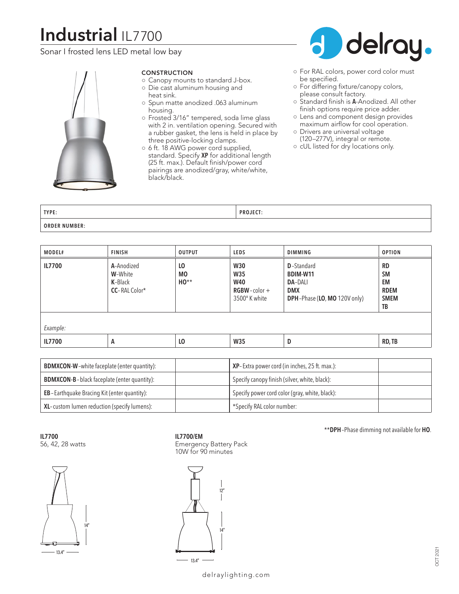# **Industrial** IL7700

Sonar I frosted lens LED metal low bay



# CONSTRUCTION

- Canopy mounts to standard J-box. ○ Die cast aluminum housing and
- heat sink.
- Spun matte anodized .063 aluminum housing.
- Frosted 3/16" tempered, soda lime glass with 2 in. ventilation opening. Secured with a rubber gasket, the lens is held in place by three positive-locking clamps.
- 6 ft. 18 AWG power cord supplied, standard. Specify **XP** for additional length (25 ft. max.). Default finish/power cord pairings are anodized/gray, white/white, black/black.



- For RAL colors, power cord color must be specified.
- For differing fixture/canopy colors, please consult factory.
- Standard finish is **A**-Anodized. All other finish options require price adder.
- Lens and component design provides maximum airflow for cool operation.
- Drivers are universal voltage (120–277V), integral or remote.
- cUL listed for dry locations only.

| TYPE:                     | - --<br>ים ח |
|---------------------------|--------------|
| <b>ORDER NU</b><br>JMBER: |              |

| MODEL#   | <b>FINISH</b>                                     | <b>OUTPUT</b>                       | <b>LEDS</b>                                                         | DIMMING                                                                                               | <b>OPTION</b>                                                    |
|----------|---------------------------------------------------|-------------------------------------|---------------------------------------------------------------------|-------------------------------------------------------------------------------------------------------|------------------------------------------------------------------|
| IL7700   | A-Anodized<br>W-White<br>K-Black<br>CC-RAL Color* | L <sub>0</sub><br><b>MO</b><br>HO** | <b>W30</b><br>W35<br><b>W40</b><br>$RGBW$ -color +<br>3500° K white | <b>D</b> -Standard<br><b>BDIM-W11</b><br><b>DA-DALI</b><br><b>DMX</b><br>DPH-Phase (LO, MO 120V only) | <b>RD</b><br><b>SM</b><br>EM<br><b>RDEM</b><br><b>SMEM</b><br>TB |
| Example: |                                                   |                                     |                                                                     |                                                                                                       |                                                                  |
| IL7700   | A                                                 | L <sub>0</sub>                      | <b>W35</b>                                                          | D                                                                                                     | RD, TB                                                           |

| <b>BDMXCON-W</b> -white faceplate (enter quantity): | <b>XP</b> -Extra power cord (in inches, 25 ft. max.): |  |
|-----------------------------------------------------|-------------------------------------------------------|--|
| <b>BDMXCON-B-black faceplate (enter quantity):</b>  | Specify canopy finish (silver, white, black):         |  |
| <b>EB</b> -Earthquake Bracing Kit (enter quantity): | Specify power cord color (gray, white, black):        |  |
| XL-custom lumen reduction (specify lumens):         | *Specify RAL color number:                            |  |

**IL7700**

56, 42, 28 watts



# **IL7700/EM**

Emergency Battery Pack 10W for 90 minutes



\*\***DPH**–Phase dimming not available for **HO**.